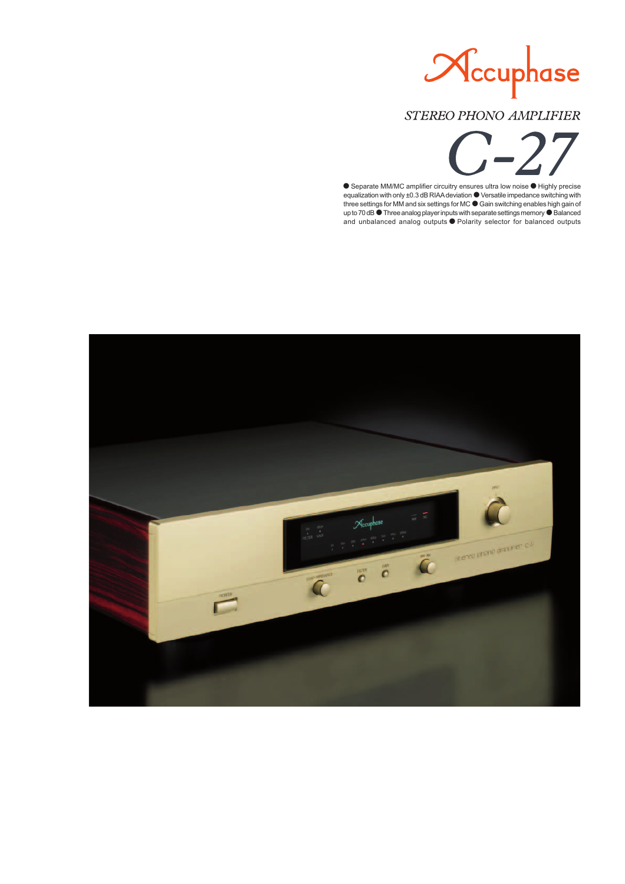

# STEREO PHONO AMPLIFIER

Separate MM/MC amplifier circuitry ensures ultra low noise  $\bullet$  Highly precise equalization with only ±0.3 dB RIAA deviation  $\bullet$  Versatile impedance switching with three settings for MM and six settings for MC  $\bullet$  Gain switching enables high gain of up to 70 dB  $\bullet$  Three analog player inputs with separate settings memory  $\bullet$  Balanced and unbalanced analog outputs  $\bullet$  Polarity selector for balanced outputs

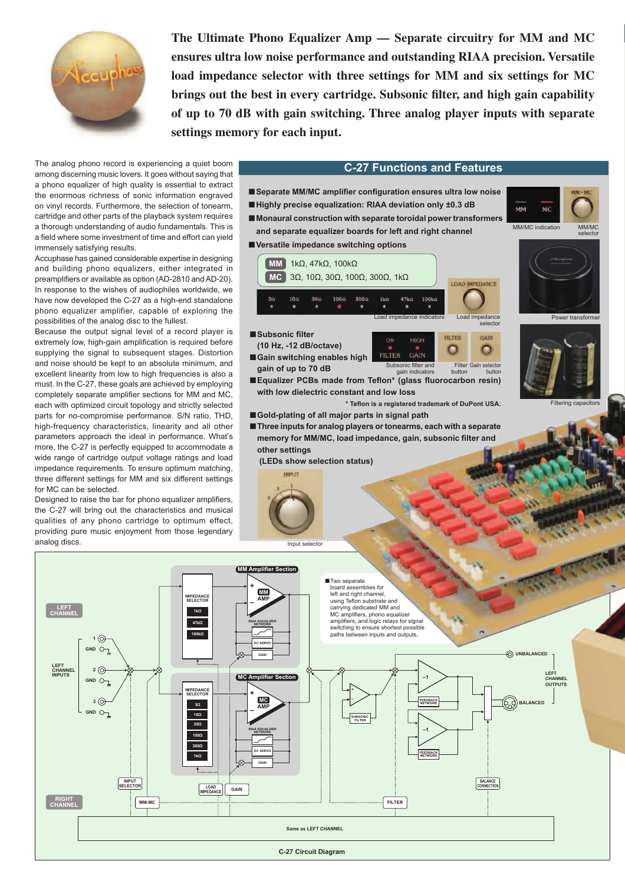

**The Ultimate Phono Equalizer Amp — Separate circuitry for MM and MC ensures ultra low noise performance and outstanding RIAA precision. Versatile load impedance selector with three settings for MM and six settings for MC**  brings out the best in every cartridge. Subsonic filter, and high gain capability **of up to 70 dB with gain switching. Three analog player inputs with separate settings memory for each input.**

The analog phono record is experiencing a quiet boom among discerning music lovers. It goes without saying that a phono equalizer of high quality is essential to extract the enormous richness of sonic information engraved on vinyl records. Furthermore, the selection of tonearm, cartridge and other parts of the playback system requires a thorough understanding of audio fundamentals. This is a field where some investment of time and effort can yield immensely satisfying results.

Accuphase has gained considerable expertise in designing and building phono equalizers, either integrated in preamplifiers or available as option (AD-2810 and AD-20). In response to the wishes of audiophiles worldwide, we have now developed the C-27 as a high-end standalone phono equalizer amplifier, capable of exploring the possibilities of the analog disc to the fullest.

Because the output signal level of a record player is extremely low, high-gain amplification is required before supplying the signal to subsequent stages. Distortion and noise should be kept to an absolute minimum, and excellent linearity from low to high frequencies is also a must. In the C-27, these goals are achieved by employing completely separate amplifier sections for MM and MC, each with optimized circuit topology and strictly selected parts for no-compromise performance. S/N ratio, THD, high-frequency characteristics, linearity and all other parameters approach the ideal in performance. What's more, the C-27 is perfectly equipped to accommodate a wide range of cartridge output voltage ratings and load impedance requirements. To ensure optimum matching, three different settings for MM and six different settings for MC can be selected.

Designed to raise the bar for phono equalizer amplifiers, the C-27 will bring out the characteristics and musical qualities of any phono cartridge to optimum effect, providing pure music enjoyment from those legendary analog discs.

**1**

GND  $\bigcirc$ 

 $\odot$ 

 $2 \odot$ 

GND<sub>O</sub>

**LEFT CHANNEL INPUTS**

**LEFT CHANNEL**

**RIGHT CHANNEL**

**3**

GND<sub>(-</sub>

**INPUT SELECTOR**

**MM-MC**

**GAIN LOAD IMPEDANCE**

**GAIN**

**IMPEDANCE SELECTOR**

**3Ω 10Ω 30Ω 100Ω 300Ω 1kΩ**

**IMPEDANCE SELECTOR**

**1kΩ 47kΩ 100kΩ**

## **C-27 Functions and Features**



**Same as LEFT CHANNEL**

**C-27 Circuit Diagram**

**FILTER**

**NETWORK**

**BALANCE CONNECTION**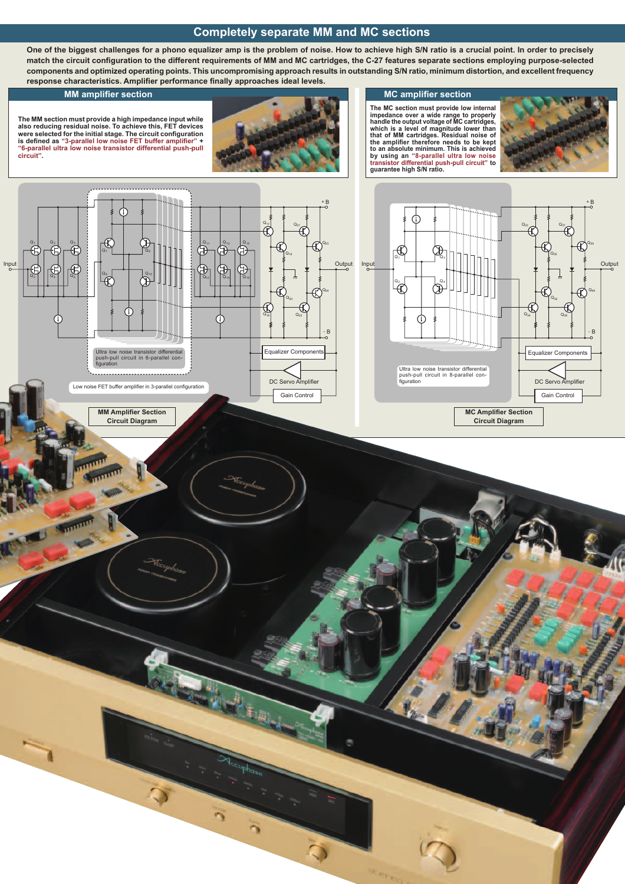### **Completely separate MM and MC sections**

**One of the biggest challenges for a phono equalizer amp is the problem of noise. How to achieve high S/N ratio is a crucial point. In order to precisely**  match the circuit configuration to the different requirements of MM and MC cartridges, the C-27 features separate sections employing purpose-selected **components and optimized operating points. This uncompromising approach results in outstanding S/N ratio, minimum distortion, and excellent frequency**  response characteristics. Amplifier performance finally approaches ideal levels.

**The MM section must provide a high impedance input while also reducing residual noise. To achieve this, FET devices**  were selected for the initial stage. The circuit configuration<br>is defined as "3-parallel low noise FET buffer amplifier" + **"6-parallel ultra low noise transistor differential push-pull circuit".**



The MC section must provide low internal<br>impedance over a wide range to properly<br>handle the output voltage of MC cartridges,<br>which is a level of magnitude lower than<br>that of MM cartridges. Residual noise of the amplifier therefore needs to be kept<br>to an absolute minimum. This is achieved<br>by using an "8-parallel ultra low noise<br>transistor differential push-pull circuit" to<br>guarantee high S/N ratio.